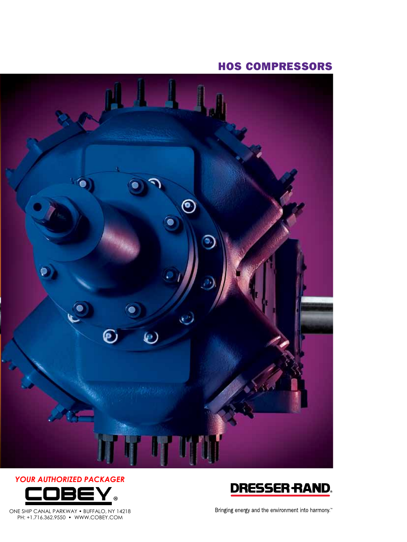### Hos COMPRESSORS









Bringing energy and the environment into narmony.<sup>11</sup>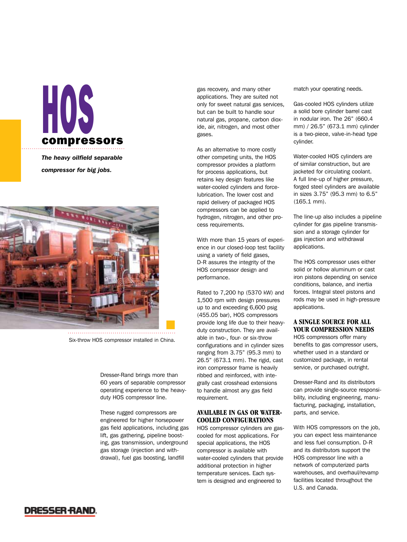# HOS compressors

*The heavy oilfield separable compressor for big jobs.*



Six-throw HOS compressor installed in China.

Dresser-Rand brings more than 60 years of separable compressor operating experience to the heavyduty HOS compressor line.

These rugged compressors are engineered for higher horsepower gas field applications, including gas lift, gas gathering, pipeline boosting, gas transmission, underground gas storage (injection and withdrawal), fuel gas boosting, landfill

gas recovery, and many other applications. They are suited not only for sweet natural gas services, but can be built to handle sour natural gas, propane, carbon dioxide, air, nitrogen, and most other gases.

As an alternative to more costly other competing units, the HOS compressor provides a platform for process applications, but retains key design features like water-cooled cylinders and forcelubrication. The lower cost and rapid delivery of packaged HOS compressors can be applied to hydrogen, nitrogen, and other process requirements.

With more than 15 years of experience in our closed-loop test facility using a variety of field gases, D-R assures the integrity of the HOS compressor design and performance.

Rated to 7,200 hp (5370 kW) and 1,500 rpm with design pressures up to and exceeding 6,600 psig (455.05 bar), HOS compressors provide long life due to their heavyduty construction. They are available in two-, four- or six-throw configurations and in cylinder sizes ranging from 3.75" (95.3 mm) to 26.5" (673.1 mm). The rigid, cast iron compressor frame is heavily ribbed and reinforced, with integrally cast crosshead extensions to handle almost any gas field requirement.

#### **AVAILABLE IN GAS OR WATER-COOLED CONFIGURATIONS**

HOS compressor cylinders are gascooled for most applications. For special applications, the HOS compressor is available with water-cooled cylinders that provide additional protection in higher temperature services. Each system is designed and engineered to

match your operating needs.

Gas-cooled HOS cylinders utilize a solid bore cylinder barrel cast in nodular iron. The 26" (660.4 mm) / 26.5" (673.1 mm) cylinder is a two-piece, valve-in-head type cylinder.

Water-cooled HOS cylinders are of similar construction, but are jacketed for circulating coolant. A full line-up of higher pressure, forged steel cylinders are available in sizes 3.75" (95.3 mm) to 6.5" (165.1 mm).

The line-up also includes a pipeline cylinder for gas pipeline transmission and a storage cylinder for gas injection and withdrawal applications.

The HOS compressor uses either solid or hollow aluminum or cast iron pistons depending on service conditions, balance, and inertia forces. Integral steel pistons and rods may be used in high-pressure applications.

#### **A SINGLE SOURCE FOR ALL YOUR COMPRESSION NEEDS**

HOS compressors offer many benefits to gas compressor users, whether used in a standard or customized package, in rental service, or purchased outright.

Dresser-Rand and its distributors can provide single-source responsibility, including engineering, manufacturing, packaging, installation, parts, and service.

With HOS compressors on the job, you can expect less maintenance and less fuel consumption. D-R and its distributors support the HOS compressor line with a network of computerized parts warehouses, and overhaul/revamp facilities located throughout the U.S. and Canada.

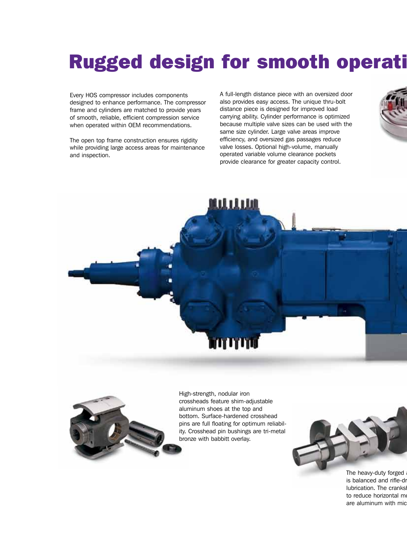## Rugged design for smooth operati

Every HOS compressor includes components designed to enhance performance. The compressor frame and cylinders are matched to provide years of smooth, reliable, efficient compression service when operated within OEM recommendations.

The open top frame construction ensures rigidity while providing large access areas for maintenance and inspection.

A full-length distance piece with an oversized door also provides easy access. The unique thru-bolt distance piece is designed for improved load carrying ability. Cylinder performance is optimized because multiple valve sizes can be used with the same size cylinder. Large valve areas improve efficiency, and oversized gas passages reduce valve losses. Optional high-volume, manually operated variable volume clearance pockets provide clearance for greater capacity control.







High-strength, nodular iron crossheads feature shim-adjustable aluminum shoes at the top and bottom. Surface-hardened crosshead pins are full floating for optimum reliability. Crosshead pin bushings are tri-metal bronze with babbitt overlay.



The heavy-duty forged is balanced and rifle-dr lubrication. The cranks to reduce horizontal mo are aluminum with mic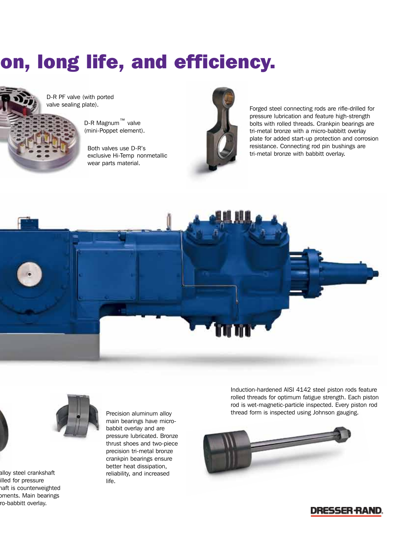# on, long life, and efficiency.

D-R PF valve (with ported valve sealing plate).

> D-R Magnum™ valve (mini-Poppet element).

Both valves use D-R's exclusive Hi-Temp nonmetallic wear parts material.



Forged steel connecting rods are rifle-drilled for pressure lubrication and feature high-strength bolts with rolled threads. Crankpin bearings are tri-metal bronze with a micro-babbitt overlay plate for added start-up protection and corrosion resistance. Connecting rod pin bushings are tri-metal bronze with babbitt overlay.





alloy steel crankshaft illed for pressure haft is counterweighted oments. Main bearings ro-babbitt overlay.

Precision aluminum alloy main bearings have microbabbit overlay and are pressure lubricated. Bronze thrust shoes and two-piece precision tri-metal bronze crankpin bearings ensure better heat dissipation, reliability, and increased life.

Induction-hardened AISI 4142 steel piston rods feature rolled threads for optimum fatigue strength. Each piston rod is wet-magnetic-particle inspected. Every piston rod thread form is inspected using Johnson gauging.



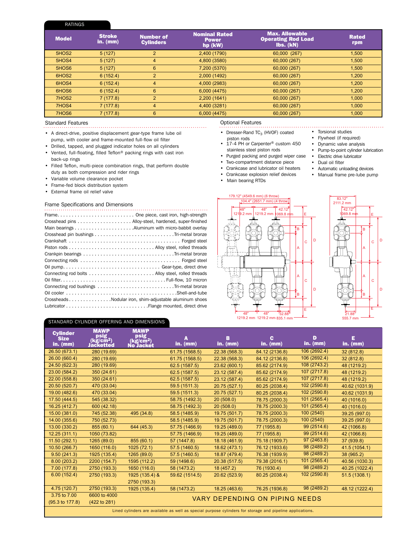#### Ratings

| <b>Model</b>      | <b>Stroke</b><br>in. $(mm)$ | <b>Number of</b><br><b>Cylinders</b> | <b>Nominal Rated</b><br><b>Power</b><br>$hp$ (kW) | <b>Max. Allowable</b><br><b>Operating Rod Load</b><br>Ibs. (kN) | <b>Rated</b><br>rpm |
|-------------------|-----------------------------|--------------------------------------|---------------------------------------------------|-----------------------------------------------------------------|---------------------|
| 5HOS <sub>2</sub> | 5(127)                      | 2                                    | 2,400 (1790)                                      | 60,000 (267)                                                    | 1.500               |
| 5HOS4             | 5(127)                      | 4                                    | 4,800 (3580)                                      | 60,000 (267)                                                    | 1,500               |
| 5HOS6             | 5(127)                      | 6                                    | 7,200 (5370)                                      | 60,000 (267)                                                    | 1,500               |
| 6HOS <sub>2</sub> | 6(152.4)                    | 2                                    | 2,000 (1492)                                      | 60,000 (267)                                                    | 1,200               |
| 6HOS4             | 6(152.4)                    | $\overline{4}$                       | 4,000 (2983)                                      | 60,000 (267)                                                    | 1,200               |
| 6HOS6             | 6(152.4)                    | 6                                    | 6,000(4475)                                       | 60,000 (267)                                                    | 1.200               |
| 7HOS2             | 7(177.8)                    | $\overline{2}$                       | 2,200 (1641)                                      | 60,000 (267)                                                    | 1,000               |
| 7HOS4             | 7(177.8)                    | 4                                    | 4,400 (3281)                                      | 60,000 (267)                                                    | 1,000               |
| 7HOS6             | 7(177.8)                    | 6                                    | 6,000 (4475)                                      | 60,000 (267)                                                    | 1,000               |

#### Standard Features

- • A direct-drive, positive displacement gear-type frame lube oil
- pump, with cooler and frame-mounted full-flow oil filter
- Drilled, tapped, and plugged indicator holes on all cylinders • Vented, full-floating, filled Teflon® packing rings with cast iron
- back-up rings
- Filled Teflon, multi-piece combination rings, that perform double duty as both compression and rider rings
- Variable volume clearance pocket
- Frame-fed block distribution system
- External frame oil relief valve

#### Frame Specifications and Dimensions

| Crosshead pins Alloy-steel, hardened, super-finished   |
|--------------------------------------------------------|
|                                                        |
|                                                        |
|                                                        |
|                                                        |
|                                                        |
|                                                        |
|                                                        |
|                                                        |
|                                                        |
|                                                        |
|                                                        |
| CrossheadsNodular iron, shim-adjustable aluminum shoes |
|                                                        |
|                                                        |

#### Optional Features

- • Dresser-Rand TC<sub>3</sub> (HVOF) coated • Torsional studies • Flywheel (if required)
- piston rods 17-4 PH or Carpenter® custom 450 stainless steel piston rods
- Purged packing and purged wiper case Electric drive lubricator
- Two-compartment distance piece
- Crankcase and lubricator oil heaters
- Crankcase explosion relief devices
- Main bearing RTDs
	-
- Dynamic valve analysis
	- Pump-to-point cylinder lubrication
- - Dual oil filter
	- Automatic unloading devices
	- Manual frame pre-lube pump
	-





#### Standard Cylinder offering and dimensions

| <b>Cylinder</b><br><b>Size</b><br>in. $(mm)$                                                              | <b>MAWP</b><br>psig<br>(kg/cm <sup>2</sup> )<br><b>Jacketted</b> | <b>MAWP</b><br>psig<br>(kg/cm2)<br><b>No Jacket</b> | A<br>$in.$ (mm) | в<br>in. $(mm)$ | c.<br>in. $(mm)$ | D<br>$in.$ (mm) | E<br>in. $(mm)$ |  |  |
|-----------------------------------------------------------------------------------------------------------|------------------------------------------------------------------|-----------------------------------------------------|-----------------|-----------------|------------------|-----------------|-----------------|--|--|
| 26.50 (673.1)                                                                                             | 280 (19.69)                                                      |                                                     | 61.75 (1568.5)  | 22.38 (568.3)   | 84.12 (2136.8)   | 106 (2692.4)    | 32 (812.8)      |  |  |
| 26.00 (660.4)                                                                                             | 280 (19.69)                                                      |                                                     | 61.75 (1568.5)  | 22.38 (568.3)   | 84.12 (2136.8)   | 106 (2692.4)    | 32 (812.8)      |  |  |
| 24.50 (622.3)                                                                                             | 280 (19.69)                                                      |                                                     | 62.5 (1587.5)   | 23.62 (600.1)   | 85.62 (2174.9)   | 108 (2743.2)    | 48 (1219.2)     |  |  |
| 23.00 (584.2)                                                                                             | 350 (24.61)                                                      |                                                     | 62.5 (1587.5)   | 23.12 (587.4)   | 85.62 (2174.9)   | 107 (2717.8)    | 48 (1219.2)     |  |  |
| 22.00 (558.8)                                                                                             | 350 (24.61)                                                      |                                                     | 62.5 (1587.5)   | 23.12 (587.4)   | 85.62 (2174.9)   | 107 (2717.8)    | 48 (1219.2)     |  |  |
| 20.50 (520.7)                                                                                             | 470 (33.04)                                                      |                                                     | 59.5 (1511.3)   | 20.75 (527.1)   | 80.25 (2038.4)   | 102 (2590.8)    | 40.62 (1031.9)  |  |  |
| 19.00 (482.6)                                                                                             | 470 (33.04)                                                      |                                                     | 59.5 (1511.3)   | 20.75 (527.1)   | 80.25 (2038.4)   | 102 (2590.8)    | 40.62 (1031.9)  |  |  |
| 17.50 (444.5)                                                                                             | 545 (38.32)                                                      |                                                     | 58.75 (1492.3)  | 20(508.0)       | 78.75 (2000.3)   | 101 (2565.4)    | 40 (1016.0)     |  |  |
| 16.25 (412.7)                                                                                             | 600 (42.18)                                                      |                                                     | 58.75 (1492.3)  | 20(508.0)       | 78.75 (2000.3)   | 101 (2565.4)    | 40 (1016.0)     |  |  |
| 15.00 (381.0)                                                                                             | 745 (52.38)                                                      | 495 (34.8)                                          | 58.5 (1485.9)   | 19.75 (501.7)   | 78.75 (2000.3)   | 100 (2540)      | 39.25 (997.0)   |  |  |
| 14.00 (355.6)                                                                                             | 750 (52.73)                                                      |                                                     | 58.5 (1485.9)   | 19.75 (501.7)   | 78.75 (2000.3)   | 100 (2540)      | 39.25 (997.0)   |  |  |
| 13.00 (330.2)                                                                                             | 855 (60.1)                                                       | 644 (45.3)                                          | 57.75 (1466.9)  | 19.25 (489.0)   | 77 (1955.8)      | 99 (2514.6)     | 42 (1066.8)     |  |  |
| 12.25(311.1)                                                                                              | 1050 (73.82)                                                     |                                                     | 57.75 (1466.9)  | 19.25 (489.0)   | 77 (1955.8)      | 99 (2514.6)     | 42 (1066.8)     |  |  |
| 11.50 (292.1)                                                                                             | 1265 (89.0)                                                      | 855 (60.1)                                          | 57 (1447.8)     | 18.18 (461.9)   | 75.18 (1909.7)   | 97 (2463.8)     | 37 (939.8)      |  |  |
| 10.50 (266.7)                                                                                             | 1650 (116.0)                                                     | 1025 (72.1)                                         | 57.5 (1460.5)   | 18.62 (473.1)   | 76.12 (1933.6)   | 98 (2489.2)     | 41.5 (1054.1)   |  |  |
| 9.50(241.3)                                                                                               | 1925 (135.4)                                                     | 1265 (89.0)                                         | 57.5 (1460.5)   | 18.87 (479.4)   | 76.38 (1939.9)   | 98 (2489.2)     | 38 (965.2)      |  |  |
| 8.00 (203.2)                                                                                              | 2200 (154.7)                                                     | 1595 (112.2)                                        | 59 (1498.6)     | 20.38 (517.5)   | 79.38 (2016.1)   | 101(2565.4)     | 40.56 (1030.3)  |  |  |
| 7.00(177.8)                                                                                               | 2750 (193.3)                                                     | 1650 (116.0)                                        | 58 (1473.2)     | 18 (457.2)      | 76 (1930.4)      | 98 (2489.2)     | 40.25 (1022.4)  |  |  |
| 6.00(152.4)                                                                                               | 2750 (193.3)                                                     | 1925 (135.4) &                                      | 59.62 (1514.5)  | 20.62 (523.9)   | 80.25 (2038.4)   | 102 (2590.8)    | 51.5 (1308.1)   |  |  |
|                                                                                                           |                                                                  | 2750 (193.3)                                        |                 |                 |                  |                 |                 |  |  |
| 4.75 (120.7)                                                                                              | 2750 (193.3)                                                     | 1925 (135.4)                                        | 58 (1473.2)     | 18.25 (463.6)   | 76.25 (1936.8)   | 98 (2489.2)     | 48.12 (1222.4)  |  |  |
| 3.75 to 7.00                                                                                              | 6600 to 4000                                                     | VARY DEPENDING ON PIPING NEEDS                      |                 |                 |                  |                 |                 |  |  |
| (95.3 to 177.8)                                                                                           | (422 to 281)                                                     |                                                     |                 |                 |                  |                 |                 |  |  |
| Lined cylinders are available as well as special purpose cylinders for storage and pipeline applications. |                                                                  |                                                     |                 |                 |                  |                 |                 |  |  |